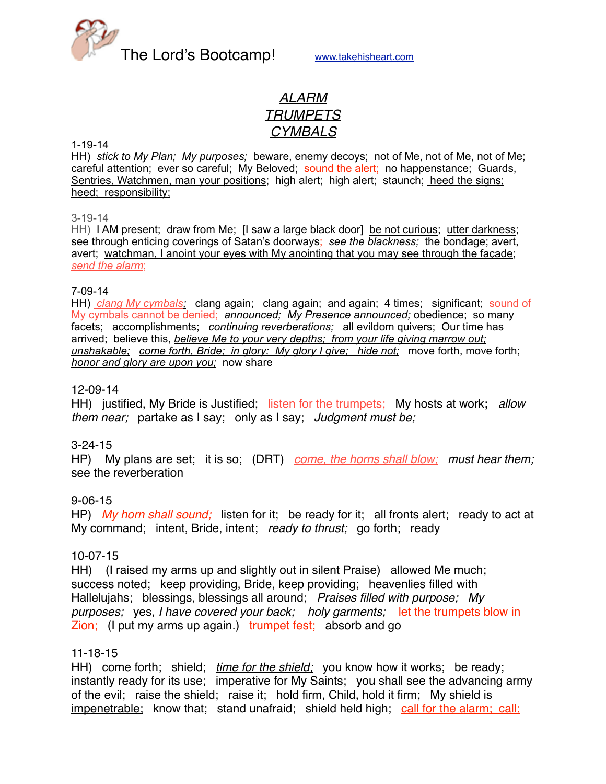

# *ALARM TRUMPETS CYMBALS*

#### 1-19-14

HH) *stick to My Plan; My purposes;* beware, enemy decoys; not of Me, not of Me, not of Me; careful attention; ever so careful; My Beloved; sound the alert; no happenstance; Guards, Sentries, Watchmen, man your positions; high alert; high alert; staunch; heed the signs; heed; responsibility;

#### 3-19-14

HH) I AM present; draw from Me; I saw a large black door] be not curious; utter darkness; see through enticing coverings of Satan's doorways; *see the blackness;* the bondage; avert, avert; watchman, I anoint your eyes with My anointing that you may see through the façade; *send the alarm*;

#### 7-09-14

HH) *clang My cymbals;* clang again; clang again; and again; 4 times; significant; sound of My cymbals cannot be denied; *announced; My Presence announced;* obedience; so many facets; accomplishments; *continuing reverberations;* all evildom quivers; Our time has arrived; believe this, *believe Me to your very depths; from your life giving marrow out; unshakable; come forth, Bride; in glory; My glory I give; hide not;* move forth, move forth; *honor and glory are upon you;* now share

#### 12-09-14

HH) justified, My Bride is Justified; listen for the trumpets; My hosts at work**;** *allow them near;* partake as I say; only as I say; *Judgment must be;* 

#### 3-24-15

HP) My plans are set; it is so;(DRT) *come, the horns shall blow; must hear them;* see the reverberation

### 9-06-15

HP) *My horn shall sound;* listen for it; be ready for it; all fronts alert; ready to act at My command; intent, Bride, intent; *ready to thrust;* go forth; ready

#### 10-07-15

HH) (I raised my arms up and slightly out in silent Praise) allowed Me much; success noted; keep providing, Bride, keep providing; heavenlies filled with Hallelujahs; blessings, blessings all around; *Praises filled with purpose; My purposes;* yes, *I have covered your back; holy garments;* let the trumpets blow in Zion; (I put my arms up again.) trumpet fest; absorb and go

#### 11-18-15

HH) come forth; shield; *time for the shield;* you know how it works; be ready; instantly ready for its use; imperative for My Saints; you shall see the advancing army of the evil; raise the shield; raise it; hold firm, Child, hold it firm; My shield is impenetrable; know that; stand unafraid; shield held high; call for the alarm; call;